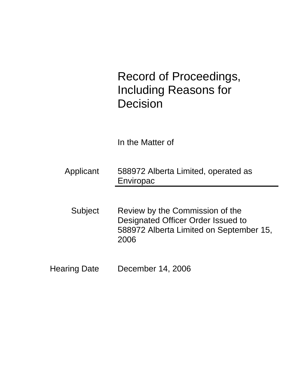# Record of Proceedings, Including Reasons for Decision

In the Matter of

- Applicant 588972 Alberta Limited, operated as Enviropac
- Subject Review by the Commission of the Designated Officer Order Issued to 588972 Alberta Limited on September 15, 2006
- Hearing Date December 14, 2006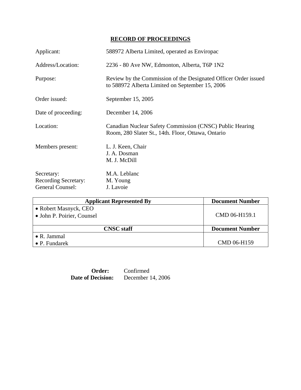## **RECORD OF PROCEEDINGS**

| Applicant:                                                           | 588972 Alberta Limited, operated as Enviropac                                                                      |
|----------------------------------------------------------------------|--------------------------------------------------------------------------------------------------------------------|
| Address/Location:                                                    | 2236 - 80 Ave NW, Edmonton, Alberta, T6P 1N2                                                                       |
| Purpose:                                                             | Review by the Commission of the Designated Officer Order issued<br>to 588972 Alberta Limited on September 15, 2006 |
| Order issued:                                                        | September 15, 2005                                                                                                 |
| Date of proceeding:                                                  | December 14, 2006                                                                                                  |
| Location:                                                            | Canadian Nuclear Safety Commission (CNSC) Public Hearing<br>Room, 280 Slater St., 14th. Floor, Ottawa, Ontario     |
| Members present:                                                     | L. J. Keen, Chair<br>J. A. Dosman<br>M. J. McDill                                                                  |
| Secretary:<br><b>Recording Secretary:</b><br><b>General Counsel:</b> | M.A. Leblanc<br>M. Young<br>J. Lavoie                                                                              |

| <b>Document Number</b> |
|------------------------|
|                        |
| CMD 06-H159.1          |
|                        |
| <b>Document Number</b> |
|                        |
| CMD 06-H159            |
|                        |

| Order:                   | Confirmed         |
|--------------------------|-------------------|
| <b>Date of Decision:</b> | December 14, 2006 |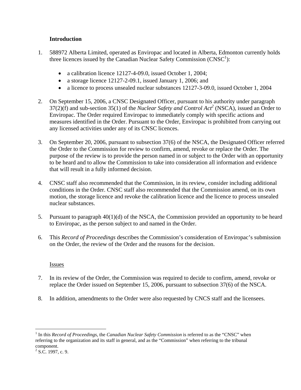## **Introduction**

- 1. 588972 Alberta Limited, operated as Enviropac and located in Alberta, Edmonton currently holds three licences issued by the Canadian Nuclear Safety Commission  $(CNSC<sup>1</sup>)$ :
	- a calibration licence 12127-4-09.0, issued October 1, 2004;
	- a storage licence 12127-2-09.1, issued January 1, 2006; and
	- a licence to process unsealed nuclear substances 12127-3-09.0, issued October 1, 2004
- 2. On September 15, 2006, a CNSC Designated Officer, pursuant to his authority under paragraph  $37(2)(f)$  and sub-section  $35(1)$  of the *Nuclear Safety and Control Act<sup>2</sup>* (NSCA), issued an Order to Enviropac. The Order required Enviropac to immediately comply with specific actions and measures identified in the Order. Pursuant to the Order, Enviropac is prohibited from carrying out any licensed activities under any of its CNSC licences.
- 3. On September 20, 2006, pursuant to subsection 37(6) of the NSCA, the Designated Officer referred the Order to the Commission for review to confirm, amend, revoke or replace the Order. The purpose of the review is to provide the person named in or subject to the Order with an opportunity to be heard and to allow the Commission to take into consideration all information and evidence that will result in a fully informed decision.
- 4. CNSC staff also recommended that the Commission, in its review, consider including additional conditions in the Order. CNSC staff also recommended that the Commission amend, on its own motion, the storage licence and revoke the calibration licence and the licence to process unsealed nuclear substances.
- 5. Pursuant to paragraph 40(1)(d) of the NSCA, the Commission provided an opportunity to be heard to Enviropac, as the person subject to and named in the Order.
- 6. This *Record of Proceedings* describes the Commission's consideration of Enviropac's submission on the Order, the review of the Order and the reasons for the decision.

## Issues

- 7. In its review of the Order, the Commission was required to decide to confirm, amend, revoke or replace the Order issued on September 15, 2006, pursuant to subsection 37(6) of the NSCA.
- 8. In addition, amendments to the Order were also requested by CNCS staff and the licensees.

 $\overline{a}$ 

<sup>&</sup>lt;sup>1</sup> In this *Record of Proceedings,* the *Canadian Nuclear Safety Commission* is referred to as the "CNSC" when referring to the organization and its staff in general, and as the "Commission" when referring to the tribunal component.

 $2^2$  S.C. 1997, c. 9.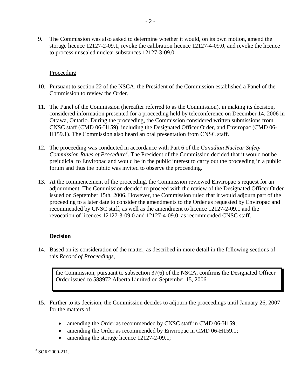9. The Commission was also asked to determine whether it would, on its own motion, amend the storage licence 12127-2-09.1, revoke the calibration licence 12127-4-09.0, and revoke the licence to process unsealed nuclear substances 12127-3-09.0.

## **Proceeding**

- 10. Pursuant to section 22 of the NSCA, the President of the Commission established a Panel of the Commission to review the Order.
- 11. The Panel of the Commission (hereafter referred to as the Commission), in making its decision, considered information presented for a proceeding held by teleconference on December 14, 2006 in Ottawa, Ontario. During the proceeding, the Commission considered written submissions from CNSC staff (CMD 06-H159), including the Designated Officer Order, and Enviropac (CMD 06- H159.1). The Commission also heard an oral presentation from CNSC staff.
- 12. The proceeding was conducted in accordance with Part 6 of the *Canadian Nuclear Safety*  Commission Rules of Procedure<sup>3</sup>. The President of the Commission decided that it would not be prejudicial to Enviropac and would be in the public interest to carry out the proceeding in a public forum and thus the public was invited to observe the proceeding.
- 13. At the commencement of the proceeding, the Commission reviewed Enviropac's request for an adjournment. The Commission decided to proceed with the review of the Designated Officer Order issued on September 15th, 2006. However, the Commission ruled that it would adjourn part of the proceeding to a later date to consider the amendments to the Order as requested by Enviropac and recommended by CNSC staff, as well as the amendment to licence 12127-2-09.1 and the revocation of licences 12127-3-09.0 and 12127-4-09.0, as recommended CNSC staff.

## **Decision**

14. Based on its consideration of the matter, as described in more detail in the following sections of this *Record of Proceedings*,

the Commission, pursuant to subsection 37(6) of the NSCA, confirms the Designated Officer Order issued to 588972 Alberta Limited on September 15, 2006.

- 15. Further to its decision, the Commission decides to adjourn the proceedings until January 26, 2007 for the matters of:
	- amending the Order as recommended by CNSC staff in CMD 06-H159;
	- amending the Order as recommended by Enviropac in CMD 06-H159.1;
	- amending the storage licence 12127-2-09.1;

 $\overline{a}$  $3$  SOR/2000-211.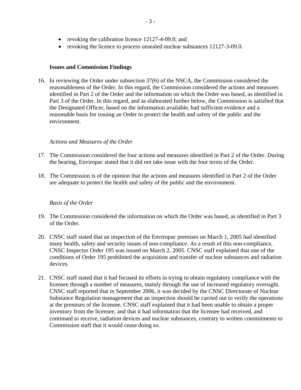- revoking the calibration licence 12127-4-09.0; and
- revoking the licence to process unsealed nuclear substances 12127-3-09.0.

#### **Issues and Commission Findings**

16. In reviewing the Order under subsection 37(6) of the NSCA, the Commission considered the reasonableness of the Order. In this regard, the Commission considered the actions and measures identified in Part 2 of the Order and the information on which the Order was based, as identified in Part 3 of the Order. In this regard, and as elaborated further below, the Commission is satisfied that the Designated Officer, based on the information available, had sufficient evidence and a reasonable basis for issuing an Order to protect the health and safety of the public and the environment.

#### *Actions and Measures of the Order*

- 17. The Commission considered the four actions and measures identified in Part 2 of the Order. During the hearing, Enviropac stated that it did not take issue with the four terms of the Order.
- 18. The Commission is of the opinion that the actions and measures identified in Part 2 of the Order are adequate to protect the health and safety of the public and the environment.

#### *Basis of the Order*

- 19. The Commission considered the information on which the Order was based, as identified in Part 3 of the Order.
- 20. CNSC staff stated that an inspection of the Enviropac premises on March 1, 2005 had identified many health, safety and security issues of non-compliance. As a result of this non-compliance, CNSC Inspector Order 195 was issued on March 2, 2005. CNSC staff explained that one of the conditions of Order 195 prohibited the acquisition and transfer of nuclear substances and radiation devices.
- 21. CNSC staff stated that it had focused its efforts in trying to obtain regulatory compliance with the licensee through a number of measures, mainly through the use of increased regulatory oversight. CNSC staff reported that in September 2006, it was decided by the CNSC Directorate of Nuclear Substance Regulation management that an inspection should be carried out to verify the operations at the premises of the licensee. CNSC staff explained that it had been unable to obtain a proper inventory from the licensee, and that it had information that the licensee had received, and continued to receive, radiation devices and nuclear substances, contrary to written commitments to Commission staff that it would cease doing so.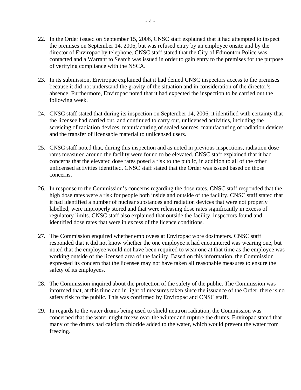- 22. In the Order issued on September 15, 2006, CNSC staff explained that it had attempted to inspect the premises on September 14, 2006, but was refused entry by an employee onsite and by the director of Enviropac by telephone. CNSC staff stated that the City of Edmonton Police was contacted and a Warrant to Search was issued in order to gain entry to the premises for the purpose of verifying compliance with the NSCA.
- 23. In its submission, Enviropac explained that it had denied CNSC inspectors access to the premises because it did not understand the gravity of the situation and in consideration of the director's absence. Furthermore, Enviropac noted that it had expected the inspection to be carried out the following week.
- 24. CNSC staff stated that during its inspection on September 14, 2006, it identified with certainty that the licensee had carried out, and continued to carry out, unlicensed activities, including the servicing of radiation devices, manufacturing of sealed sources, manufacturing of radiation devices and the transfer of licensable material to unlicensed users.
- 25. CNSC staff noted that, during this inspection and as noted in previous inspections, radiation dose rates measured around the facility were found to be elevated. CNSC staff explained that it had concerns that the elevated dose rates posed a risk to the public, in addition to all of the other unlicensed activities identified. CNSC staff stated that the Order was issued based on those concerns.
- 26. In response to the Commission's concerns regarding the dose rates, CNSC staff responded that the high dose rates were a risk for people both inside and outside of the facility. CNSC staff stated that it had identified a number of nuclear substances and radiation devices that were not properly labelled, were improperly stored and that were releasing dose rates significantly in excess of regulatory limits. CNSC staff also explained that outside the facility, inspectors found and identified dose rates that were in excess of the licence conditions.
- 27. The Commission enquired whether employees at Enviropac wore dosimeters. CNSC staff responded that it did not know whether the one employee it had encountered was wearing one, but noted that the employee would not have been required to wear one at that time as the employee was working outside of the licensed area of the facility. Based on this information, the Commission expressed its concern that the licensee may not have taken all reasonable measures to ensure the safety of its employees.
- 28. The Commission inquired about the protection of the safety of the public. The Commission was informed that, at this time and in light of measures taken since the issuance of the Order, there is no safety risk to the public. This was confirmed by Enviropac and CNSC staff.
- 29. In regards to the water drums being used to shield neutron radiation, the Commission was concerned that the water might freeze over the winter and rupture the drums. Enviropac stated that many of the drums had calcium chloride added to the water, which would prevent the water from freezing.